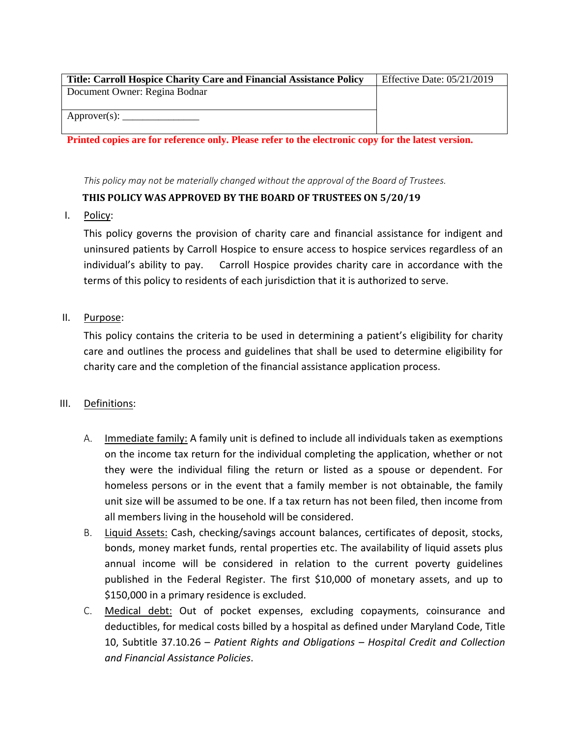| <b>Title: Carroll Hospice Charity Care and Financial Assistance Policy</b> | Effective Date: $05/21/2019$ |
|----------------------------------------------------------------------------|------------------------------|
| Document Owner: Regina Bodnar                                              |                              |
|                                                                            |                              |
|                                                                            |                              |
|                                                                            |                              |

**Printed copies are for reference only. Please refer to the electronic copy for the latest version.**

This policy may not be materially changed without the approval of the Board of Trustees.

# **THIS POLICY WAS APPROVED BY THE BOARD OF TRUSTEES ON 5/20/19**

I. Policy:

This policy governs the provision of charity care and financial assistance for indigent and uninsured patients by Carroll Hospice to ensure access to hospice services regardless of an individual's ability to pay. Carroll Hospice provides charity care in accordance with the terms of this policy to residents of each jurisdiction that it is authorized to serve.

# II. Purpose:

This policy contains the criteria to be used in determining a patient's eligibility for charity care and outlines the process and guidelines that shall be used to determine eligibility for charity care and the completion of the financial assistance application process.

## III. Definitions:

- A. Immediate family: A family unit is defined to include all individuals taken as exemptions on the income tax return for the individual completing the application, whether or not they were the individual filing the return or listed as a spouse or dependent. For homeless persons or in the event that a family member is not obtainable, the family unit size will be assumed to be one. If a tax return has not been filed, then income from all members living in the household will be considered.
- B. Liquid Assets: Cash, checking/savings account balances, certificates of deposit, stocks, bonds, money market funds, rental properties etc. The availability of liquid assets plus annual income will be considered in relation to the current poverty guidelines published in the Federal Register. The first \$10,000 of monetary assets, and up to \$150,000 in a primary residence is excluded.
- C. Medical debt: Out of pocket expenses, excluding copayments, coinsurance and deductibles, for medical costs billed by a hospital as defined under Maryland Code, Title 10, Subtitle 37.10.26 – *Patient Rights and Obligations – Hospital Credit and Collection and Financial Assistance Policies*.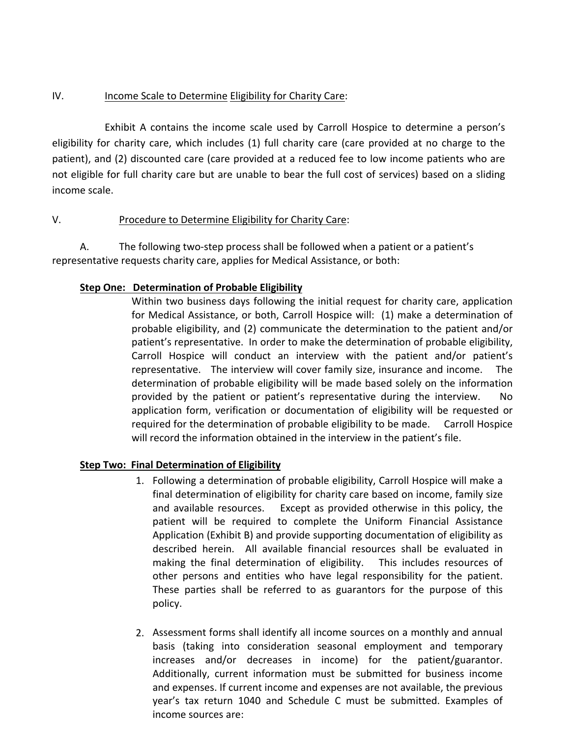## IV. Income Scale to Determine Eligibility for Charity Care:

Exhibit A contains the income scale used by Carroll Hospice to determine a person's eligibility for charity care, which includes (1) full charity care (care provided at no charge to the patient), and (2) discounted care (care provided at a reduced fee to low income patients who are not eligible for full charity care but are unable to bear the full cost of services) based on a sliding income scale.

## V. Procedure to Determine Eligibility for Charity Care:

A. The following two‐step process shall be followed when a patient or a patient's representative requests charity care, applies for Medical Assistance, or both:

## **Step One: Determination of Probable Eligibility**

Within two business days following the initial request for charity care, application for Medical Assistance, or both, Carroll Hospice will: (1) make a determination of probable eligibility, and (2) communicate the determination to the patient and/or patient's representative. In order to make the determination of probable eligibility, Carroll Hospice will conduct an interview with the patient and/or patient's representative. The interview will cover family size, insurance and income. The determination of probable eligibility will be made based solely on the information provided by the patient or patient's representative during the interview. No application form, verification or documentation of eligibility will be requested or required for the determination of probable eligibility to be made. Carroll Hospice will record the information obtained in the interview in the patient's file.

## **Step Two: Final Determination of Eligibility**

- 1. Following a determination of probable eligibility, Carroll Hospice will make a final determination of eligibility for charity care based on income, family size and available resources. Except as provided otherwise in this policy, the patient will be required to complete the Uniform Financial Assistance Application (Exhibit B) and provide supporting documentation of eligibility as described herein. All available financial resources shall be evaluated in making the final determination of eligibility. This includes resources of other persons and entities who have legal responsibility for the patient. These parties shall be referred to as guarantors for the purpose of this policy.
- 2. Assessment forms shall identify all income sources on a monthly and annual basis (taking into consideration seasonal employment and temporary increases and/or decreases in income) for the patient/guarantor. Additionally, current information must be submitted for business income and expenses. If current income and expenses are not available, the previous year's tax return 1040 and Schedule C must be submitted. Examples of income sources are: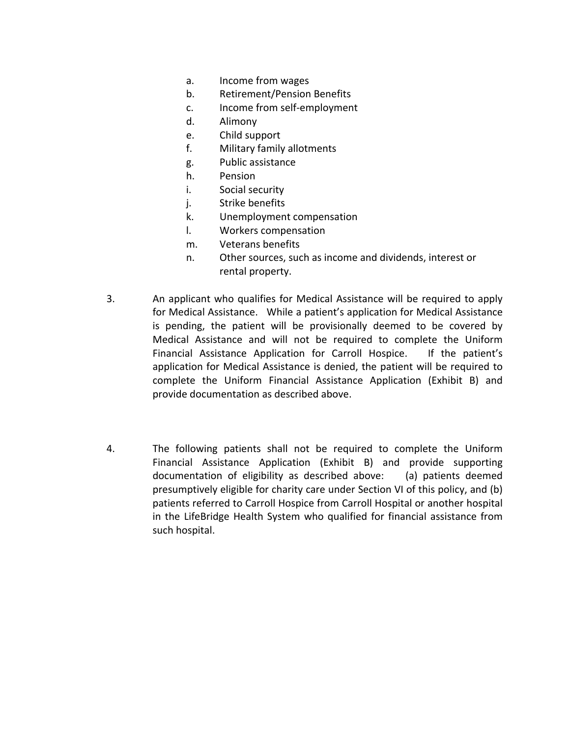- a. Income from wages
- b. Retirement/Pension Benefits
- c. Income from self‐employment
- d. Alimony
- e. Child support
- f. Military family allotments
- g. Public assistance
- h. Pension
- i. Social security
- j. Strike benefits
- k. Unemployment compensation
- l. Workers compensation
- m. Veterans benefits
- n. Other sources, such as income and dividends, interest or rental property.
- 3. An applicant who qualifies for Medical Assistance will be required to apply for Medical Assistance. While a patient's application for Medical Assistance is pending, the patient will be provisionally deemed to be covered by Medical Assistance and will not be required to complete the Uniform Financial Assistance Application for Carroll Hospice. If the patient's application for Medical Assistance is denied, the patient will be required to complete the Uniform Financial Assistance Application (Exhibit B) and provide documentation as described above.
- 4. The following patients shall not be required to complete the Uniform Financial Assistance Application (Exhibit B) and provide supporting documentation of eligibility as described above: (a) patients deemed presumptively eligible for charity care under Section VI of this policy, and (b) patients referred to Carroll Hospice from Carroll Hospital or another hospital in the LifeBridge Health System who qualified for financial assistance from such hospital.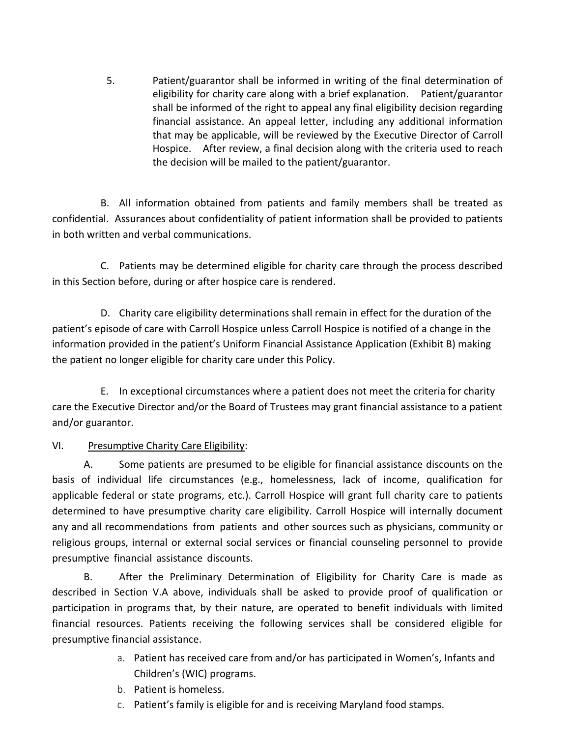5. Patient/guarantor shall be informed in writing of the final determination of eligibility for charity care along with a brief explanation. Patient/guarantor shall be informed of the right to appeal any final eligibility decision regarding financial assistance. An appeal letter, including any additional information that may be applicable, will be reviewed by the Executive Director of Carroll Hospice. After review, a final decision along with the criteria used to reach the decision will be mailed to the patient/guarantor.

B. All information obtained from patients and family members shall be treated as confidential. Assurances about confidentiality of patient information shall be provided to patients in both written and verbal communications.

C. Patients may be determined eligible for charity care through the process described in this Section before, during or after hospice care is rendered.

D. Charity care eligibility determinations shall remain in effect for the duration of the patient's episode of care with Carroll Hospice unless Carroll Hospice is notified of a change in the information provided in the patient's Uniform Financial Assistance Application (Exhibit B) making the patient no longer eligible for charity care under this Policy.

E. In exceptional circumstances where a patient does not meet the criteria for charity care the Executive Director and/or the Board of Trustees may grant financial assistance to a patient and/or guarantor.

## VI. Presumptive Charity Care Eligibility:

A. Some patients are presumed to be eligible for financial assistance discounts on the basis of individual life circumstances (e.g., homelessness, lack of income, qualification for applicable federal or state programs, etc.). Carroll Hospice will grant full charity care to patients determined to have presumptive charity care eligibility. Carroll Hospice will internally document any and all recommendations from patients and other sources such as physicians, community or religious groups, internal or external social services or financial counseling personnel to provide presumptive financial assistance discounts.

B. After the Preliminary Determination of Eligibility for Charity Care is made as described in Section V.A above, individuals shall be asked to provide proof of qualification or participation in programs that, by their nature, are operated to benefit individuals with limited financial resources. Patients receiving the following services shall be considered eligible for presumptive financial assistance.

- a. Patient has received care from and/or has participated in Women's, Infants and Children's (WIC) programs.
- b. Patient is homeless.
- c. Patient's family is eligible for and is receiving Maryland food stamps.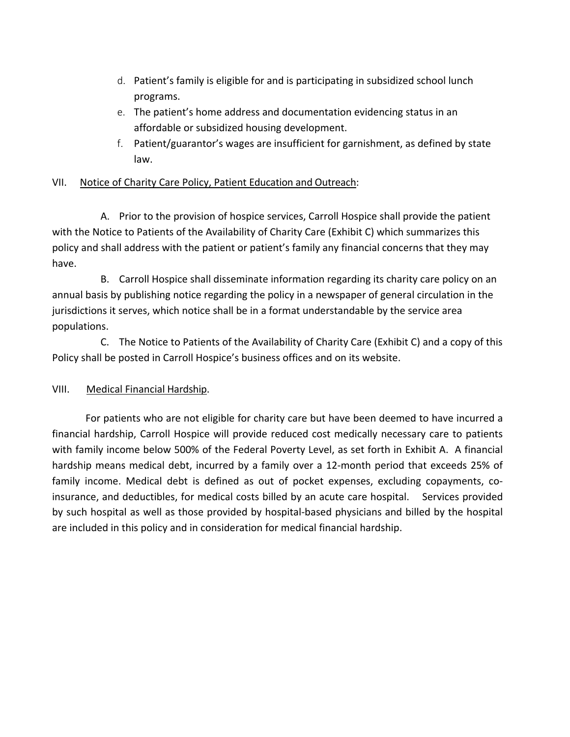- d. Patient's family is eligible for and is participating in subsidized school lunch programs.
- e. The patient's home address and documentation evidencing status in an affordable or subsidized housing development.
- f. Patient/guarantor's wages are insufficient for garnishment, as defined by state law.

## VII. Notice of Charity Care Policy, Patient Education and Outreach:

A. Prior to the provision of hospice services, Carroll Hospice shall provide the patient with the Notice to Patients of the Availability of Charity Care (Exhibit C) which summarizes this policy and shall address with the patient or patient's family any financial concerns that they may have.

B. Carroll Hospice shall disseminate information regarding its charity care policy on an annual basis by publishing notice regarding the policy in a newspaper of general circulation in the jurisdictions it serves, which notice shall be in a format understandable by the service area populations.

C. The Notice to Patients of the Availability of Charity Care (Exhibit C) and a copy of this Policy shall be posted in Carroll Hospice's business offices and on its website.

## VIII. Medical Financial Hardship.

For patients who are not eligible for charity care but have been deemed to have incurred a financial hardship, Carroll Hospice will provide reduced cost medically necessary care to patients with family income below 500% of the Federal Poverty Level, as set forth in Exhibit A. A financial hardship means medical debt, incurred by a family over a 12-month period that exceeds 25% of family income. Medical debt is defined as out of pocket expenses, excluding copayments, coinsurance, and deductibles, for medical costs billed by an acute care hospital. Services provided by such hospital as well as those provided by hospital‐based physicians and billed by the hospital are included in this policy and in consideration for medical financial hardship.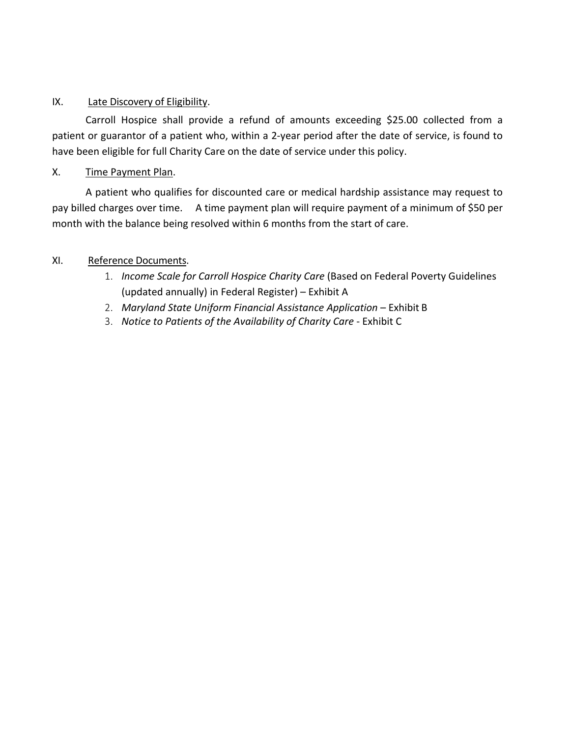## IX. Late Discovery of Eligibility.

Carroll Hospice shall provide a refund of amounts exceeding \$25.00 collected from a patient or guarantor of a patient who, within a 2‐year period after the date of service, is found to have been eligible for full Charity Care on the date of service under this policy.

# X. Time Payment Plan.

A patient who qualifies for discounted care or medical hardship assistance may request to pay billed charges over time. A time payment plan will require payment of a minimum of \$50 per month with the balance being resolved within 6 months from the start of care.

# XI. Reference Documents.

- 1. *Income Scale for Carroll Hospice Charity Care* (Based on Federal Poverty Guidelines (updated annually) in Federal Register) – Exhibit A
- 2. *Maryland State Uniform Financial Assistance Application* Exhibit B
- 3. *Notice to Patients of the Availability of Charity Care* ‐ Exhibit C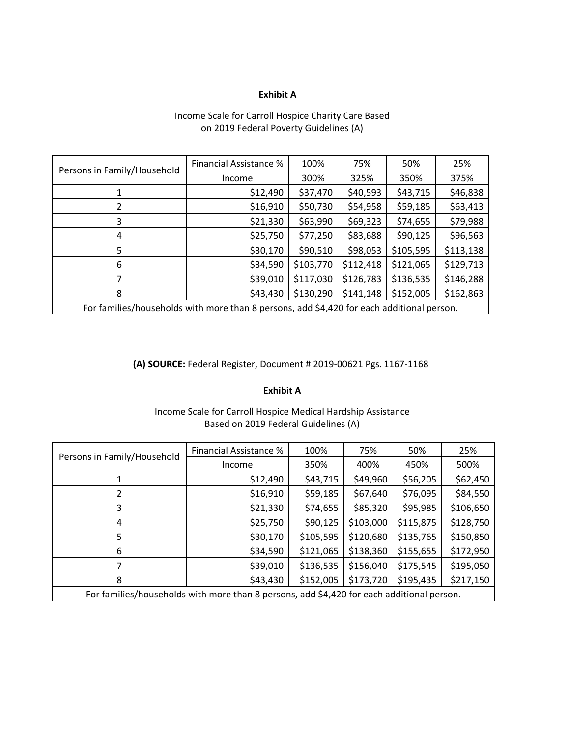#### **Exhibit A**

#### Income Scale for Carroll Hospice Charity Care Based on 2019 Federal Poverty Guidelines (A)

|                                                                                           | Financial Assistance % | 100%      | 75%       | 50%       | 25%       |
|-------------------------------------------------------------------------------------------|------------------------|-----------|-----------|-----------|-----------|
| Persons in Family/Household                                                               | Income                 | 300%      | 325%      | 350%      | 375%      |
|                                                                                           | \$12,490               | \$37,470  | \$40,593  | \$43,715  | \$46,838  |
|                                                                                           | \$16,910               | \$50,730  | \$54,958  | \$59,185  | \$63,413  |
| 3                                                                                         | \$21,330               | \$63,990  | \$69,323  | \$74,655  | \$79,988  |
| 4                                                                                         | \$25,750               | \$77,250  | \$83,688  | \$90,125  | \$96,563  |
| 5                                                                                         | \$30,170               | \$90,510  | \$98,053  | \$105,595 | \$113,138 |
| 6                                                                                         | \$34,590               | \$103,770 | \$112,418 | \$121,065 | \$129,713 |
|                                                                                           | \$39,010               | \$117,030 | \$126,783 | \$136,535 | \$146,288 |
| 8                                                                                         | \$43,430               | \$130,290 | \$141,148 | \$152,005 | \$162,863 |
| For families/households with more than 8 persons, add \$4,420 for each additional person. |                        |           |           |           |           |

#### **(A) SOURCE:** Federal Register, Document # 2019‐00621 Pgs. 1167‐1168

#### **Exhibit A**

#### Income Scale for Carroll Hospice Medical Hardship Assistance Based on 2019 Federal Guidelines (A)

|                                                                                           | Financial Assistance % | 100%      | 75%       | 50%       | 25%       |
|-------------------------------------------------------------------------------------------|------------------------|-----------|-----------|-----------|-----------|
| Persons in Family/Household                                                               | Income                 | 350%      | 400%      | 450%      | 500%      |
| 1                                                                                         | \$12,490               | \$43,715  | \$49,960  | \$56,205  | \$62,450  |
|                                                                                           | \$16,910               | \$59,185  | \$67,640  | \$76,095  | \$84,550  |
| 3                                                                                         | \$21,330               | \$74,655  | \$85,320  | \$95,985  | \$106,650 |
| 4                                                                                         | \$25,750               | \$90,125  | \$103,000 | \$115,875 | \$128,750 |
| 5                                                                                         | \$30,170               | \$105,595 | \$120,680 | \$135,765 | \$150,850 |
| 6                                                                                         | \$34,590               | \$121,065 | \$138,360 | \$155,655 | \$172,950 |
|                                                                                           | \$39,010               | \$136,535 | \$156,040 | \$175,545 | \$195,050 |
| 8                                                                                         | \$43,430               | \$152,005 | \$173,720 | \$195,435 | \$217,150 |
| For families/households with more than 8 persons, add \$4,420 for each additional person. |                        |           |           |           |           |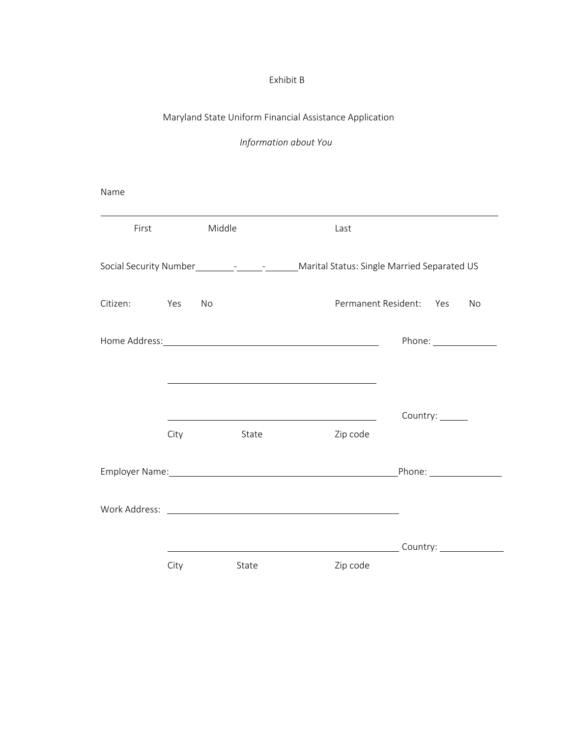## Exhibit B

# Maryland State Uniform Financial Assistance Application

*Information about You* 

Name

| First        |      | Middle | Last                                                                                                                 |                                      |
|--------------|------|--------|----------------------------------------------------------------------------------------------------------------------|--------------------------------------|
|              |      |        | Social Security Number__________________________Marital Status: Single Married Separated US                          |                                      |
| Citizen: Yes |      | No     | Permanent Resident: Yes                                                                                              | No                                   |
|              |      |        |                                                                                                                      | Phone: _______________               |
|              |      |        | <u> 1989 - Johann John Stein, markin film yn y brenin y brenin y brenin y brenin y brenin y brenin y brenin y br</u> |                                      |
|              |      |        |                                                                                                                      | Country: ______                      |
|              | City | State  | Zip code                                                                                                             |                                      |
|              |      |        | Employer Name: 1998                                                                                                  |                                      |
|              |      |        |                                                                                                                      |                                      |
|              |      |        |                                                                                                                      | Country: <u>____________________</u> |
|              | City | State  | Zip code                                                                                                             |                                      |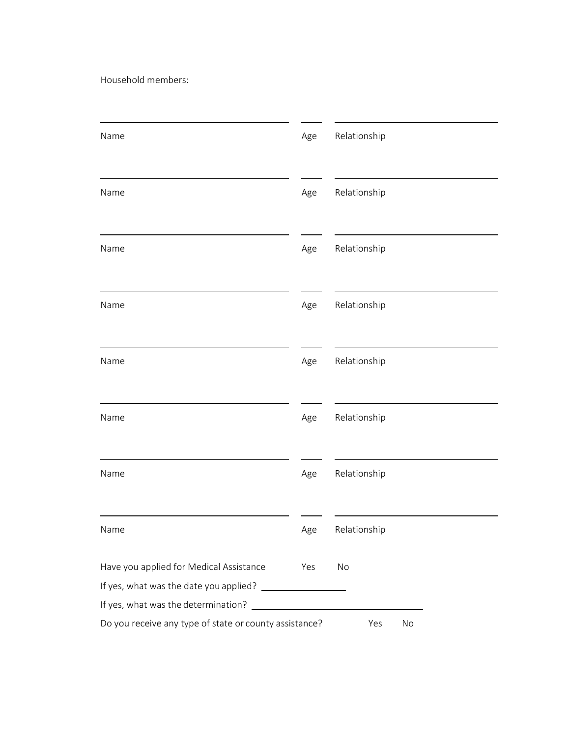Household members:

| Name                                                   | Age | Relationship |
|--------------------------------------------------------|-----|--------------|
| Name                                                   | Age | Relationship |
| Name                                                   | Age | Relationship |
| Name                                                   | Age | Relationship |
| Name                                                   | Age | Relationship |
| Name                                                   | Age | Relationship |
| Name                                                   | Age | Relationship |
| Name                                                   | Age | Relationship |
| Have you applied for Medical Assistance                | Yes | No           |
| If yes, what was the determination?                    |     |              |
| Do you receive any type of state or county assistance? |     | Yes<br>No    |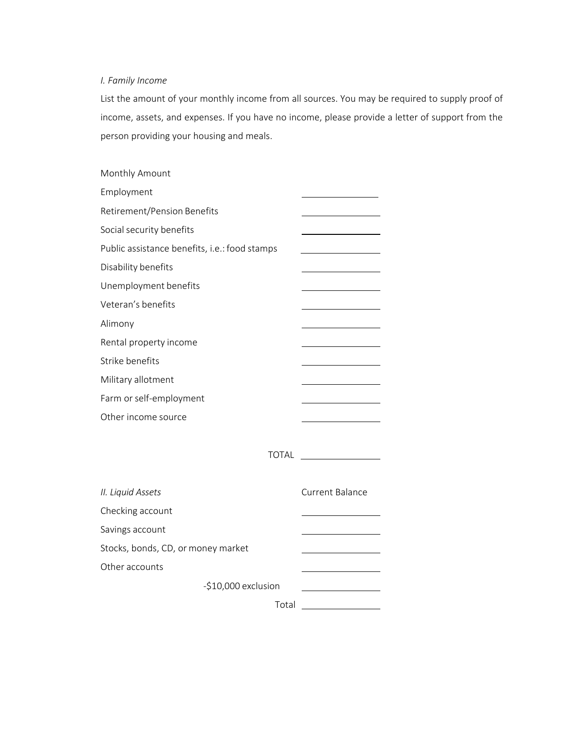## *I. Family Income*

List the amount of your monthly income from all sources. You may be required to supply proof of income, assets, and expenses. If you have no income, please provide a letter of support from the person providing your housing and meals.

| Monthly Amount                                |                        |
|-----------------------------------------------|------------------------|
| Employment                                    |                        |
| Retirement/Pension Benefits                   |                        |
| Social security benefits                      |                        |
| Public assistance benefits, i.e.: food stamps |                        |
| Disability benefits                           |                        |
| Unemployment benefits                         |                        |
| Veteran's benefits                            |                        |
| Alimony                                       |                        |
| Rental property income                        |                        |
| Strike benefits                               |                        |
| Military allotment                            |                        |
| Farm or self-employment                       |                        |
| Other income source                           |                        |
|                                               |                        |
| <b>TOTAL</b>                                  |                        |
|                                               |                        |
| II. Liquid Assets                             | <b>Current Balance</b> |
| Checking account                              |                        |
| Savings account                               |                        |
| Stocks, bonds, CD, or money market            |                        |
| Other accounts                                |                        |
| -\$10,000 exclusion                           |                        |
|                                               | Total                  |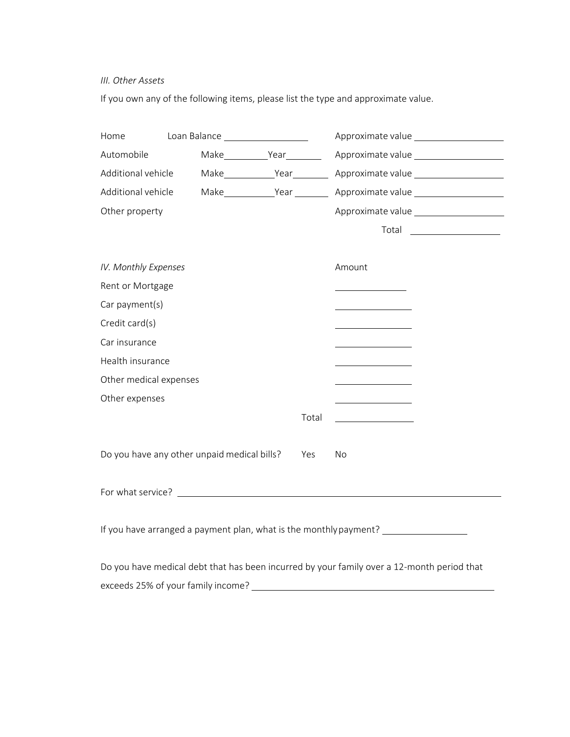#### *III. Other Assets*

If you own any of the following items, please list the type and approximate value.

| Home                                                                             | Loan Balance _____________________          |           | Approximate value                                                                          |  |  |  |
|----------------------------------------------------------------------------------|---------------------------------------------|-----------|--------------------------------------------------------------------------------------------|--|--|--|
| Automobile                                                                       |                                             | Make Year | Approximate value                                                                          |  |  |  |
| Additional vehicle                                                               |                                             | Make Year | Approximate value                                                                          |  |  |  |
| Additional vehicle                                                               |                                             | Make Year | Approximate value                                                                          |  |  |  |
| Other property                                                                   |                                             |           | Approximate value                                                                          |  |  |  |
|                                                                                  |                                             |           | Total _____________________                                                                |  |  |  |
|                                                                                  |                                             |           |                                                                                            |  |  |  |
| IV. Monthly Expenses                                                             |                                             |           | Amount                                                                                     |  |  |  |
| Rent or Mortgage                                                                 |                                             |           |                                                                                            |  |  |  |
| Car payment(s)                                                                   |                                             |           |                                                                                            |  |  |  |
| Credit card(s)                                                                   |                                             |           |                                                                                            |  |  |  |
| Car insurance                                                                    |                                             |           |                                                                                            |  |  |  |
| Health insurance                                                                 |                                             |           |                                                                                            |  |  |  |
| Other medical expenses                                                           |                                             |           | <u> 1989 - Johann Barbara, martxa a</u>                                                    |  |  |  |
| Other expenses                                                                   |                                             |           |                                                                                            |  |  |  |
|                                                                                  |                                             | Total     |                                                                                            |  |  |  |
|                                                                                  |                                             |           |                                                                                            |  |  |  |
|                                                                                  | Do you have any other unpaid medical bills? | Yes       | No                                                                                         |  |  |  |
|                                                                                  |                                             |           |                                                                                            |  |  |  |
|                                                                                  |                                             |           |                                                                                            |  |  |  |
|                                                                                  |                                             |           |                                                                                            |  |  |  |
| If you have arranged a payment plan, what is the monthly payment? ______________ |                                             |           |                                                                                            |  |  |  |
|                                                                                  |                                             |           |                                                                                            |  |  |  |
|                                                                                  |                                             |           | Do you have medical debt that has been incurred by your family over a 12-month period that |  |  |  |
|                                                                                  | exceeds 25% of your family income?          |           |                                                                                            |  |  |  |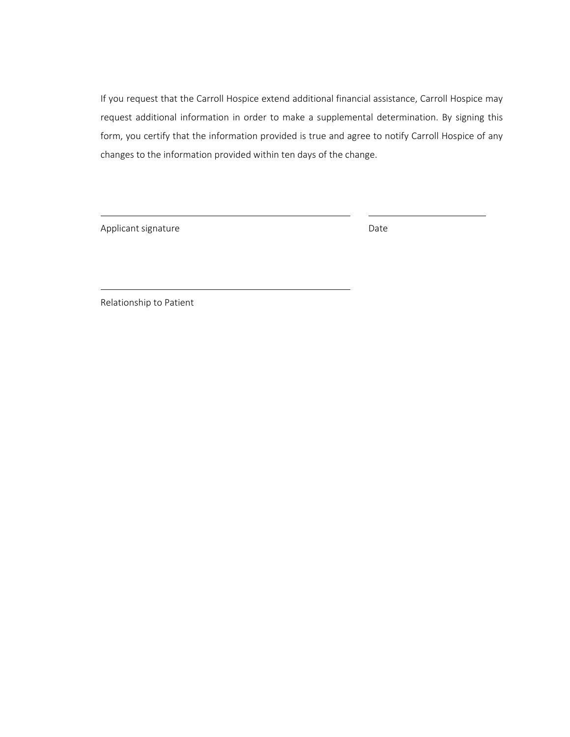If you request that the Carroll Hospice extend additional financial assistance, Carroll Hospice may request additional information in order to make a supplemental determination. By signing this form, you certify that the information provided is true and agree to notify Carroll Hospice of any changes to the information provided within ten days of the change.

Applicant signature Date Date

Relationship to Patient